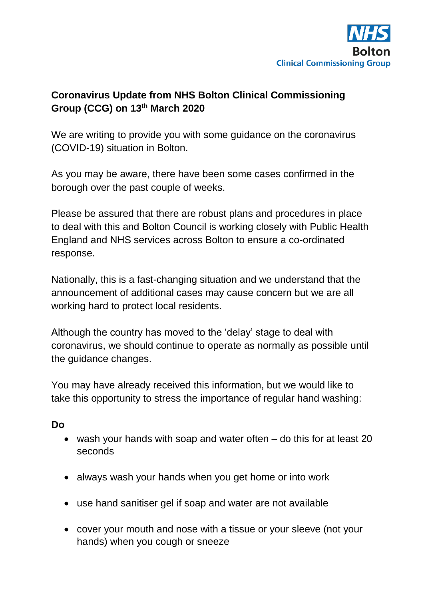

## **Coronavirus Update from NHS Bolton Clinical Commissioning Group (CCG) on 13th March 2020**

We are writing to provide you with some guidance on the coronavirus (COVID-19) situation in Bolton.

As you may be aware, there have been some cases confirmed in the borough over the past couple of weeks.

Please be assured that there are robust plans and procedures in place to deal with this and Bolton Council is working closely with Public Health England and NHS services across Bolton to ensure a co-ordinated response.

Nationally, this is a fast-changing situation and we understand that the announcement of additional cases may cause concern but we are all working hard to protect local residents.

Although the country has moved to the 'delay' stage to deal with coronavirus, we should continue to operate as normally as possible until the guidance changes.

You may have already received this information, but we would like to take this opportunity to stress the importance of regular hand washing:

## **Do**

- wash your hands with soap and water often do this for at least 20 seconds
- always wash your hands when you get home or into work
- use hand sanitiser gel if soap and water are not available
- cover your mouth and nose with a tissue or your sleeve (not your hands) when you cough or sneeze